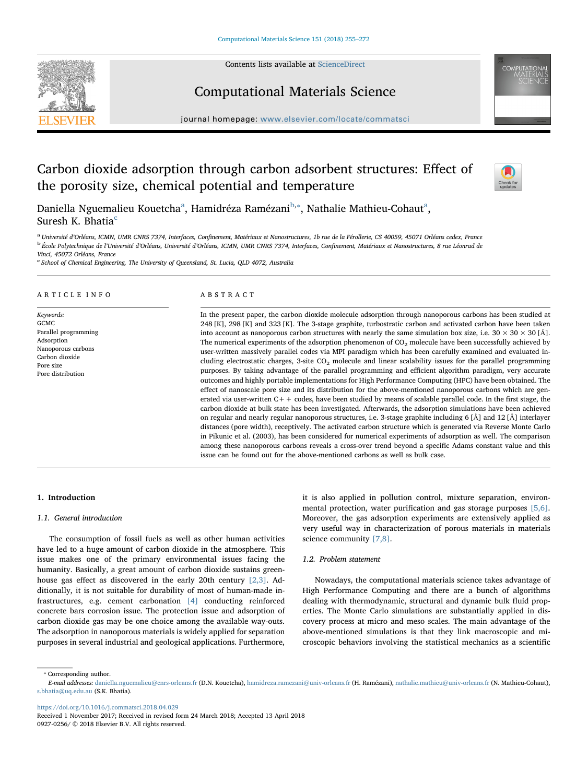Contents lists available at [ScienceDirect](http://www.sciencedirect.com/science/journal/09270256)





## Computational Materials Science

journal homepage: [www.elsevier.com/locate/commatsci](https://www.elsevier.com/locate/commatsci)

## Carbon dioxide adsorption through carbon adsorbent structures: Effect of the porosity size, chemical potential and temperature



D[a](#page-0-0)niella Nguemalieu Kouetcha<sup>a</sup>, Hamidréza Ramézani<sup>[b](#page-0-1),</sup>\*, Nathalie Mathieu-Cohaut<sup>a</sup>, Suresh K. Bhatia $<sup>c</sup>$  $<sup>c</sup>$  $<sup>c</sup>$ </sup>

<span id="page-0-1"></span><span id="page-0-0"></span><sup>a</sup> Université d'Orléans, ICMN, UMR CNRS 7374, Interfaces, Confinement, Matériaux et Nanostructures, 1b rue de la Férollerie, CS 40059, 45071 Orléans cedex, France<br><sup>b</sup> École Polytechnique de l'Université d'Orléans, Univers Vinci, 45072 Orléans, France

<span id="page-0-3"></span><sup>c</sup> School of Chemical Engineering, The University of Queensland, St. Lucia, QLD 4072, Australia

#### ARTICLE INFO

Keywords: GCMC Parallel programming **Adsorption** Nanoporous carbons Carbon dioxide Pore size Pore distribution

### ABSTRACT

In the present paper, the carbon dioxide molecule adsorption through nanoporous carbons has been studied at 248 [K], 298 [K] and 323 [K]. The 3-stage graphite, turbostratic carbon and activated carbon have been taken into account as nanoporous carbon structures with nearly the same simulation box size, i.e.  $30 \times 30 \times 30$  [Å]. The numerical experiments of the adsorption phenomenon of  $CO<sub>2</sub>$  molecule have been successfully achieved by user-written massively parallel codes via MPI paradigm which has been carefully examined and evaluated including electrostatic charges, 3-site CO2 molecule and linear scalability issues for the parallel programming purposes. By taking advantage of the parallel programming and efficient algorithm paradigm, very accurate outcomes and highly portable implementations for High Performance Computing (HPC) have been obtained. The effect of nanoscale pore size and its distribution for the above-mentioned nanoporous carbons which are generated via user-written  $C++$  codes, have been studied by means of scalable parallel code. In the first stage, the carbon dioxide at bulk state has been investigated. Afterwards, the adsorption simulations have been achieved on regular and nearly regular nanoporous structures, i.e. 3-stage graphite including 6 [Å] and 12 [Å] interlayer distances (pore width), receptively. The activated carbon structure which is generated via Reverse Monte Carlo in Pikunic et al. (2003), has been considered for numerical experiments of adsorption as well. The comparison among these nanoporous carbons reveals a cross-over trend beyond a specific Adams constant value and this issue can be found out for the above-mentioned carbons as well as bulk case.

#### 1. Introduction

#### 1.1. General introduction

The consumption of fossil fuels as well as other human activities have led to a huge amount of carbon dioxide in the atmosphere. This issue makes one of the primary environmental issues facing the humanity. Basically, a great amount of carbon dioxide sustains greenhouse gas effect as discovered in the early 20th century [\[2,3\]](#page--1-0). Additionally, it is not suitable for durability of most of human-made infrastructures, e.g. cement carbonation [\[4\]](#page--1-1) conducting reinforced concrete bars corrosion issue. The protection issue and adsorption of carbon dioxide gas may be one choice among the available way-outs. The adsorption in nanoporous materials is widely applied for separation purposes in several industrial and geological applications. Furthermore,

it is also applied in pollution control, mixture separation, environmental protection, water purification and gas storage purposes [\[5,6\]](#page--1-2). Moreover, the gas adsorption experiments are extensively applied as very useful way in characterization of porous materials in materials science community [\[7,8\]](#page--1-3).

#### 1.2. Problem statement

Nowadays, the computational materials science takes advantage of High Performance Computing and there are a bunch of algorithms dealing with thermodynamic, structural and dynamic bulk fluid properties. The Monte Carlo simulations are substantially applied in discovery process at micro and meso scales. The main advantage of the above-mentioned simulations is that they link macroscopic and microscopic behaviors involving the statistical mechanics as a scientific

<span id="page-0-2"></span>⁎ Corresponding author.

<https://doi.org/10.1016/j.commatsci.2018.04.029>

E-mail addresses: [daniella.nguemalieu@cnrs-orleans.fr](mailto:daniella.nguemalieu@cnrs-orleans.fr) (D.N. Kouetcha), [hamidreza.ramezani@univ-orleans.fr](mailto:hamidreza.ramezani@univ-orleans.fr) (H. Ramézani), [nathalie.mathieu@univ-orleans.fr](mailto:nathalie.mathieu@univ-orleans.fr) (N. Mathieu-Cohaut), [s.bhatia@uq.edu.au](mailto:s.bhatia@uq.edu.au) (S.K. Bhatia).

Received 1 November 2017; Received in revised form 24 March 2018; Accepted 13 April 2018 0927-0256/ © 2018 Elsevier B.V. All rights reserved.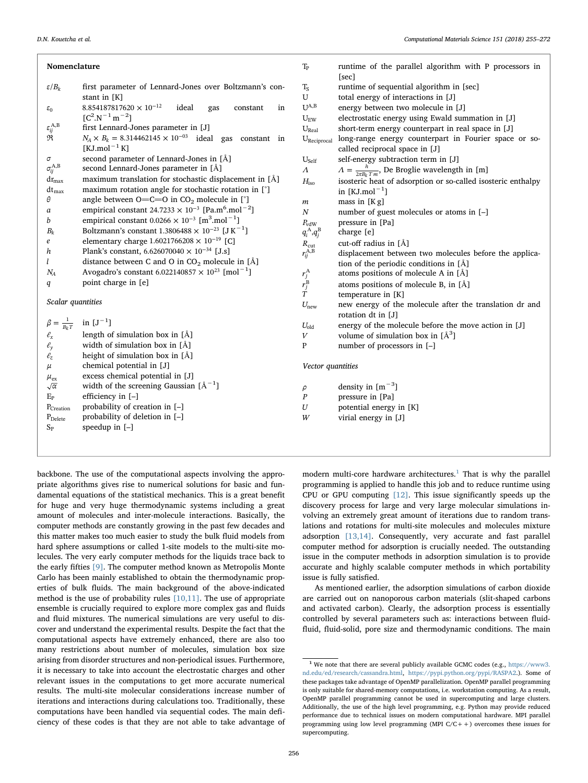Nomenclature

#### *ε B*/ *<sup>k</sup>* first parameter of Lennard-Jones over Boltzmann's constant in [K]  $\varepsilon_0$  8.854187817620 × 10<sup>-12</sup> ideal gas constant in  $[C^2 \cdot N^{-1} \, m^{-2}]$ *εij* first Lennard-Jones parameter in [J]  $\mathfrak{R}$   $N_A \times B_k = 8.314462145 \times 10^{-03}$  ideal gas constant in  $[KJ$ .mol<sup>-1</sup> K] *σ* second parameter of Lennard-Jones in [Å] *σij* second Lennard-Jones parameter in  $[A]$ maximum translation for stochastic displacement in  $\lceil \mathring{A} \rceil$ dtmax maximum rotation angle for stochastic rotation in [°] *θ* angle between O=C=O in CO<sub>2</sub> molecule in [<sup>°</sup>] *a* empirical constant  $24.7233 \times 10^{-3}$  [Pa.m<sup>6</sup>.mol<sup>-2</sup>] *b* empirical constant  $0.0266 \times 10^{-3}$  [m<sup>3</sup>.mol<sup>-1</sup>] *B*<sub>k</sub> Boltzmann's constant  $1.3806488 \times 10^{-23}$  [J K<sup>-1</sup>] *e* elementary charge 1.6021766208 × 10<sup>-19</sup> [C] *h* Plank's constant,  $6.626070040 \times 10^{-34}$  [J.s] *l* distance between C and O in CO<sub>2</sub> molecule in [Å]<br> $N_A$  Avogadro's constant 6.022140857  $\times$  10<sup>23</sup> [mol<sup>-1</sup>] *N<sub>A</sub>* Avogadro's constant 6.022140857  $\times$  10<sup>23</sup> [mol<sup>-1</sup>] *q* point charge in [e] Scalar quantities  $\beta = \frac{1}{B_k T}$  $\frac{1}{kT}$  in  $[J^{-1}]$  $\ell_x$  length of simulation box in [Å]  $\ell$ <sup>*y*</sup> width of simulation box in [Å]  $\ell_z$  height of simulation box in [Å] *μ* chemical potential in [J]  $\mu_{\text{ex}}$  excess chemical potential in [J]<br> $\sqrt{\alpha}$  width of the screening Gaussian  $\frac{a}{\alpha}$  width of the screening Gaussian  $[A^{-1}]$  $E_P$  efficiency in  $[-]$ P<sub>Creation</sub> probability of creation in [-] P<sub>Delete</sub> probability of deletion in [-]  $S_P$  speedup in  $[-]$ T<sub>P</sub> runtime of the parallel algorithm with P processors in [sec]  $T_S$  runtime of sequential algorithm in [sec]<br>U total energy of interactions in [J] U total energy of interactions in [J]<br> $U^{A,B}$  energy between two molecule in energy between two molecule in [J]  $U_{\text{EW}}$  electrostatic energy using Ewald summation in [J] U<sub>Real</sub> short-term energy counterpart in real space in [J] UReciprocal long-range energy counterpart in Fourier space or socalled reciprocal space in [J] U<sub>Self</sub> self-energy subtraction term in [J] *Λ*  $A = \frac{h}{2\pi B_k T m}$ , De Broglie wavelength in [m] *H*<sub>iso</sub> isosteric heat of adsorption or so-called isosteric enthalpy in  $[KJ/mol^{-1}]$  $m$  mass in [K g] *N* number of guest molecules or atoms in [–] *P*<sub>vdW</sub> pressure in [Pa]  $q_i^{\rm A}, q_j^{\rm B}$ charge [e] cut-off radius in [Å]  $R_{\rm cut} \over r_{ij}^{\rm A,B}$ displacement between two molecules before the application of the periodic conditions in [Å] *rj* atoms positions of molecule A in  $[\AA]$ *rj* atoms positions of molecule B, in  $[\AA]$ temperature in [K]  $U_{\text{new}}$  new energy of the molecule after the translation dr and rotation dt in [J] *U*<sub>old</sub> energy of the molecule before the move action in [J] *V* volume of simulation box in  $[A^3]$ P number of processors in [–] Vector quantities  $\rho$  density in  $\lbrack m^{-3}]$ *P* pressure in [Pa] *U* potential energy in [K] *W* virial energy in [J]

backbone. The use of the computational aspects involving the appropriate algorithms gives rise to numerical solutions for basic and fundamental equations of the statistical mechanics. This is a great benefit for huge and very huge thermodynamic systems including a great amount of molecules and inter-molecule interactions. Basically, the computer methods are constantly growing in the past few decades and this matter makes too much easier to study the bulk fluid models from hard sphere assumptions or called 1-site models to the multi-site molecules. The very early computer methods for the liquids trace back to the early fifties [\[9\].](#page--1-4) The computer method known as Metropolis Monte Carlo has been mainly established to obtain the thermodynamic properties of bulk fluids. The main background of the above-indicated method is the use of probability rules  $[10,11]$ . The use of appropriate ensemble is crucially required to explore more complex gas and fluids and fluid mixtures. The numerical simulations are very useful to discover and understand the experimental results. Despite the fact that the computational aspects have extremely enhanced, there are also too many restrictions about number of molecules, simulation box size arising from disorder structures and non-periodical issues. Furthermore, it is necessary to take into account the electrostatic charges and other relevant issues in the computations to get more accurate numerical results. The multi-site molecular considerations increase number of iterations and interactions during calculations too. Traditionally, these computations have been handled via sequential codes. The main deficiency of these codes is that they are not able to take advantage of modern multi-core hardware architectures.<sup>[1](#page-1-0)</sup> That is why the parallel programming is applied to handle this job and to reduce runtime using CPU or GPU computing [\[12\].](#page--1-6) This issue significantly speeds up the discovery process for large and very large molecular simulations involving an extremely great amount of iterations due to random translations and rotations for multi-site molecules and molecules mixture adsorption [\[13,14\]](#page--1-7). Consequently, very accurate and fast parallel computer method for adsorption is crucially needed. The outstanding issue in the computer methods in adsorption simulation is to provide accurate and highly scalable computer methods in which portability issue is fully satisfied.

As mentioned earlier, the adsorption simulations of carbon dioxide are carried out on nanoporous carbon materials (slit-shaped carbons and activated carbon). Clearly, the adsorption process is essentially controlled by several parameters such as: interactions between fluidfluid, fluid-solid, pore size and thermodynamic conditions. The main

<span id="page-1-0"></span> $^{\rm 1}$  We note that there are several publicly available GCMC codes (e.g., [https://www3.](https://www3.nd.edu/ed/research/cassandra.html) [nd.edu/ed/research/cassandra.html](https://www3.nd.edu/ed/research/cassandra.html), <https://pypi.python.org/pypi/RASPA2>.). Some of these packages take advantage of OpenMP parallelization. OpenMP parallel programming is only suitable for shared-memory computations, i.e. workstation computing. As a result, OpenMP parallel programming cannot be used in supercomputing and large clusters. Additionally, the use of the high level programming, e.g. Python may provide reduced performance due to technical issues on modern computational hardware. MPI parallel programming using low level programming (MPI C/C++) overcomes these issues for supercomputing.